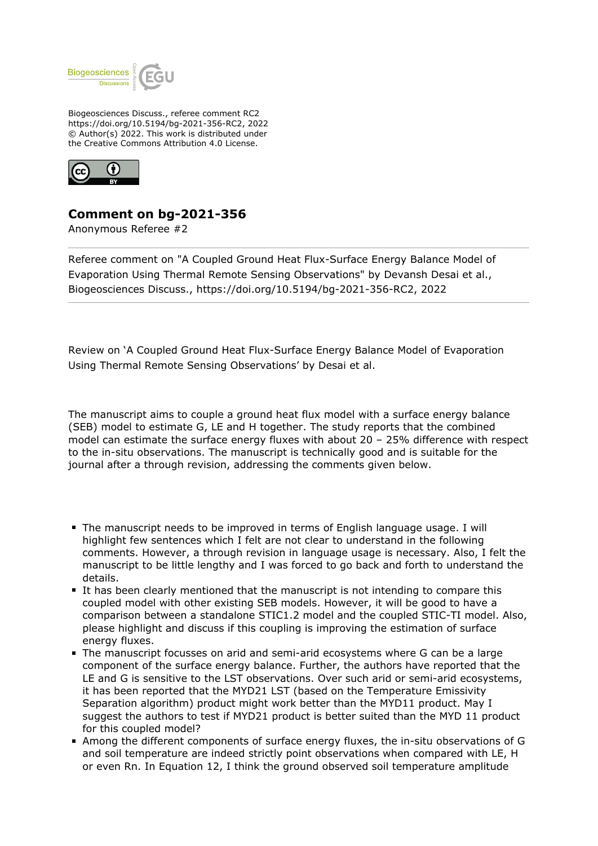

Biogeosciences Discuss., referee comment RC2 https://doi.org/10.5194/bg-2021-356-RC2, 2022 © Author(s) 2022. This work is distributed under the Creative Commons Attribution 4.0 License.



## **Comment on bg-2021-356**

Anonymous Referee #2

Referee comment on "A Coupled Ground Heat Flux-Surface Energy Balance Model of Evaporation Using Thermal Remote Sensing Observations" by Devansh Desai et al., Biogeosciences Discuss., https://doi.org/10.5194/bg-2021-356-RC2, 2022

Review on 'A Coupled Ground Heat Flux-Surface Energy Balance Model of Evaporation Using Thermal Remote Sensing Observations' by Desai et al.

The manuscript aims to couple a ground heat flux model with a surface energy balance (SEB) model to estimate G, LE and H together. The study reports that the combined model can estimate the surface energy fluxes with about 20 – 25% difference with respect to the in-situ observations. The manuscript is technically good and is suitable for the journal after a through revision, addressing the comments given below.

- The manuscript needs to be improved in terms of English language usage. I will highlight few sentences which I felt are not clear to understand in the following comments. However, a through revision in language usage is necessary. Also, I felt the manuscript to be little lengthy and I was forced to go back and forth to understand the details.
- It has been clearly mentioned that the manuscript is not intending to compare this coupled model with other existing SEB models. However, it will be good to have a comparison between a standalone STIC1.2 model and the coupled STIC-TI model. Also, please highlight and discuss if this coupling is improving the estimation of surface energy fluxes.
- The manuscript focusses on arid and semi-arid ecosystems where G can be a large component of the surface energy balance. Further, the authors have reported that the LE and G is sensitive to the LST observations. Over such arid or semi-arid ecosystems, it has been reported that the MYD21 LST (based on the Temperature Emissivity Separation algorithm) product might work better than the MYD11 product. May I suggest the authors to test if MYD21 product is better suited than the MYD 11 product for this coupled model?
- Among the different components of surface energy fluxes, the in-situ observations of G and soil temperature are indeed strictly point observations when compared with LE, H or even Rn. In Equation 12, I think the ground observed soil temperature amplitude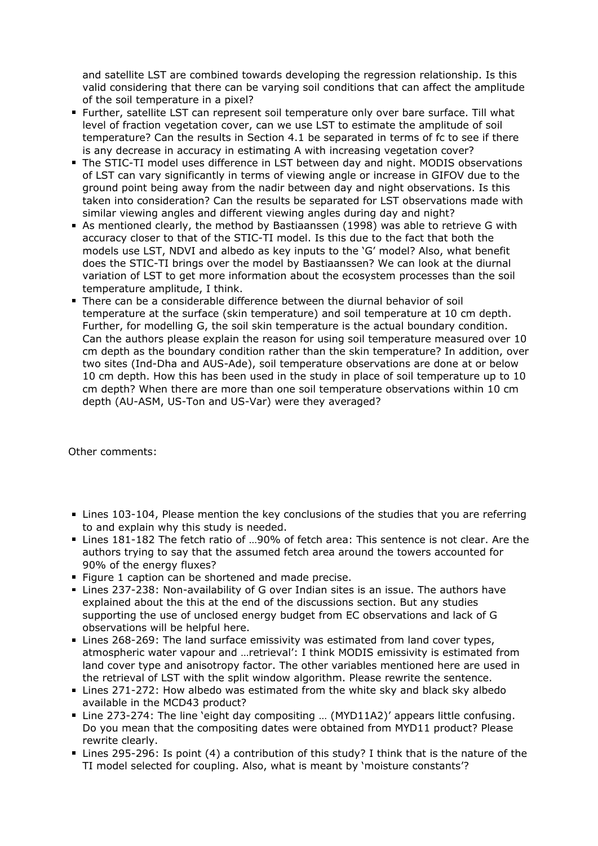and satellite LST are combined towards developing the regression relationship. Is this valid considering that there can be varying soil conditions that can affect the amplitude of the soil temperature in a pixel?

- Further, satellite LST can represent soil temperature only over bare surface. Till what level of fraction vegetation cover, can we use LST to estimate the amplitude of soil temperature? Can the results in Section 4.1 be separated in terms of fc to see if there is any decrease in accuracy in estimating A with increasing vegetation cover?
- The STIC-TI model uses difference in LST between day and night. MODIS observations of LST can vary significantly in terms of viewing angle or increase in GIFOV due to the ground point being away from the nadir between day and night observations. Is this taken into consideration? Can the results be separated for LST observations made with similar viewing angles and different viewing angles during day and night?
- As mentioned clearly, the method by Bastiaanssen (1998) was able to retrieve G with accuracy closer to that of the STIC-TI model. Is this due to the fact that both the models use LST, NDVI and albedo as key inputs to the 'G' model? Also, what benefit does the STIC-TI brings over the model by Bastiaanssen? We can look at the diurnal variation of LST to get more information about the ecosystem processes than the soil temperature amplitude, I think.
- There can be a considerable difference between the diurnal behavior of soil temperature at the surface (skin temperature) and soil temperature at 10 cm depth. Further, for modelling G, the soil skin temperature is the actual boundary condition. Can the authors please explain the reason for using soil temperature measured over 10 cm depth as the boundary condition rather than the skin temperature? In addition, over two sites (Ind-Dha and AUS-Ade), soil temperature observations are done at or below 10 cm depth. How this has been used in the study in place of soil temperature up to 10 cm depth? When there are more than one soil temperature observations within 10 cm depth (AU-ASM, US-Ton and US-Var) were they averaged?

Other comments:

- Lines 103-104, Please mention the key conclusions of the studies that you are referring to and explain why this study is needed.
- Lines 181-182 The fetch ratio of ...90% of fetch area: This sentence is not clear. Are the authors trying to say that the assumed fetch area around the towers accounted for 90% of the energy fluxes?
- Figure 1 caption can be shortened and made precise.
- Lines 237-238: Non-availability of G over Indian sites is an issue. The authors have explained about the this at the end of the discussions section. But any studies supporting the use of unclosed energy budget from EC observations and lack of G observations will be helpful here.
- Lines 268-269: The land surface emissivity was estimated from land cover types, atmospheric water vapour and …retrieval': I think MODIS emissivity is estimated from land cover type and anisotropy factor. The other variables mentioned here are used in the retrieval of LST with the split window algorithm. Please rewrite the sentence.
- Lines 271-272: How albedo was estimated from the white sky and black sky albedo available in the MCD43 product?
- Line 273-274: The line 'eight day compositing … (MYD11A2)' appears little confusing. Do you mean that the compositing dates were obtained from MYD11 product? Please rewrite clearly.
- Lines 295-296: Is point (4) a contribution of this study? I think that is the nature of the TI model selected for coupling. Also, what is meant by 'moisture constants'?